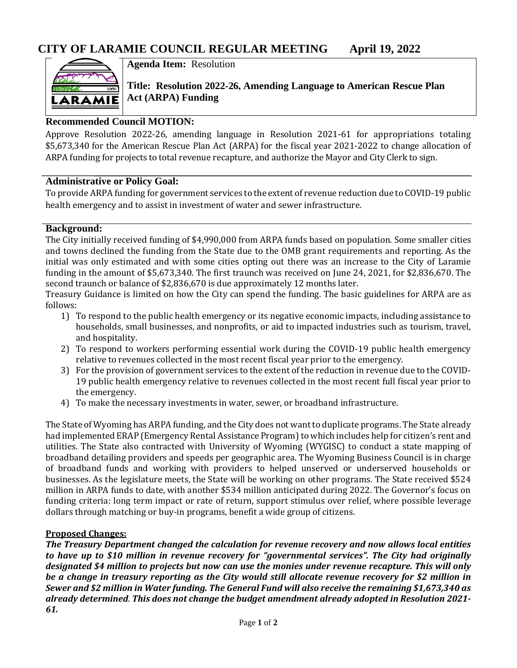

**Agenda Item:** Resolution

**Title: Resolution 2022-26, Amending Language to American Rescue Plan Act (ARPA) Funding**

## **Recommended Council MOTION:**

Approve Resolution 2022-26, amending language in Resolution 2021-61 for appropriations totaling \$5,673,340 for the American Rescue Plan Act (ARPA) for the fiscal year 2021-2022 to change allocation of ARPA funding for projects to total revenue recapture, and authorize the Mayor and City Clerk to sign.

### **Administrative or Policy Goal:**

To provide ARPA funding for government services to the extent of revenue reduction due to COVID-19 public health emergency and to assist in investment of water and sewer infrastructure.

### **Background:**

The City initially received funding of \$4,990,000 from ARPA funds based on population. Some smaller cities and towns declined the funding from the State due to the OMB grant requirements and reporting. As the initial was only estimated and with some cities opting out there was an increase to the City of Laramie funding in the amount of \$5,673,340. The first traunch was received on June 24, 2021, for \$2,836,670. The second traunch or balance of \$2,836,670 is due approximately 12 months later.

Treasury Guidance is limited on how the City can spend the funding. The basic guidelines for ARPA are as follows:

- 1) To respond to the public health emergency or its negative economic impacts, including assistance to households, small businesses, and nonprofits, or aid to impacted industries such as tourism, travel, and hospitality.
- 2) To respond to workers performing essential work during the COVID-19 public health emergency relative to revenues collected in the most recent fiscal year prior to the emergency.
- 3) For the provision of government services to the extent of the reduction in revenue due to the COVID-19 public health emergency relative to revenues collected in the most recent full fiscal year prior to the emergency.
- 4) To make the necessary investments in water, sewer, or broadband infrastructure.

The State of Wyoming has ARPA funding, and the City does not want to duplicate programs. The State already had implemented ERAP (Emergency Rental Assistance Program) to which includes help for citizen's rent and utilities. The State also contracted with University of Wyoming (WYGISC) to conduct a state mapping of broadband detailing providers and speeds per geographic area. The Wyoming Business Council is in charge of broadband funds and working with providers to helped unserved or underserved households or businesses. As the legislature meets, the State will be working on other programs. The State received \$524 million in ARPA funds to date, with another \$534 million anticipated during 2022. The Governor's focus on funding criteria: long term impact or rate of return, support stimulus over relief, where possible leverage dollars through matching or buy-in programs, benefit a wide group of citizens.

### **Proposed Changes:**

*The Treasury Department changed the calculation for revenue recovery and now allows local entities to have up to \$10 million in revenue recovery for "governmental services". The City had originally designated \$4 million to projects but now can use the monies under revenue recapture. This will only be a change in treasury reporting as the City would still allocate revenue recovery for \$2 million in Sewer and \$2 million in Water funding. The General Fund will also receive the remaining \$1,673,340 as already determined*. *This does not change the budget amendment already adopted in Resolution 2021- 61.*